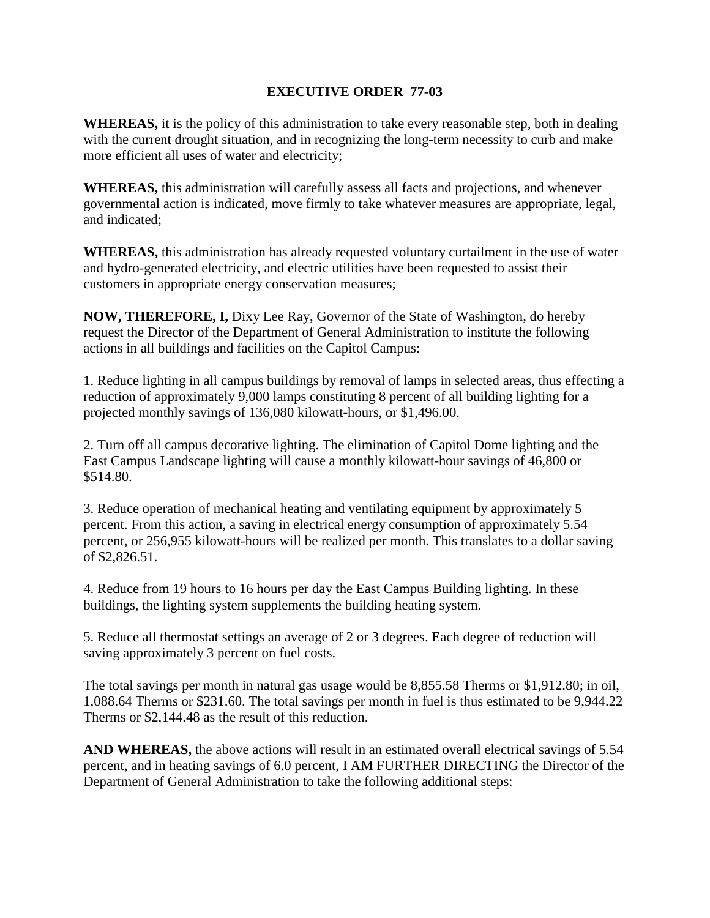## **EXECUTIVE ORDER 77-03**

**WHEREAS,** it is the policy of this administration to take every reasonable step, both in dealing with the current drought situation, and in recognizing the long-term necessity to curb and make more efficient all uses of water and electricity;

**WHEREAS,** this administration will carefully assess all facts and projections, and whenever governmental action is indicated, move firmly to take whatever measures are appropriate, legal, and indicated;

**WHEREAS,** this administration has already requested voluntary curtailment in the use of water and hydro-generated electricity, and electric utilities have been requested to assist their customers in appropriate energy conservation measures;

**NOW, THEREFORE, I,** Dixy Lee Ray, Governor of the State of Washington, do hereby request the Director of the Department of General Administration to institute the following actions in all buildings and facilities on the Capitol Campus:

1. Reduce lighting in all campus buildings by removal of lamps in selected areas, thus effecting a reduction of approximately 9,000 lamps constituting 8 percent of all building lighting for a projected monthly savings of 136,080 kilowatt-hours, or \$1,496.00.

2. Turn off all campus decorative lighting. The elimination of Capitol Dome lighting and the East Campus Landscape lighting will cause a monthly kilowatt-hour savings of 46,800 or \$514.80.

3. Reduce operation of mechanical heating and ventilating equipment by approximately 5 percent. From this action, a saving in electrical energy consumption of approximately 5.54 percent, or 256,955 kilowatt-hours will be realized per month. This translates to a dollar saving of \$2,826.51.

4. Reduce from 19 hours to 16 hours per day the East Campus Building lighting. In these buildings, the lighting system supplements the building heating system.

5. Reduce all thermostat settings an average of 2 or 3 degrees. Each degree of reduction will saving approximately 3 percent on fuel costs.

The total savings per month in natural gas usage would be 8,855.58 Therms or \$1,912.80; in oil, 1,088.64 Therms or \$231.60. The total savings per month in fuel is thus estimated to be 9,944.22 Therms or \$2,144.48 as the result of this reduction.

**AND WHEREAS,** the above actions will result in an estimated overall electrical savings of 5.54 percent, and in heating savings of 6.0 percent, I AM FURTHER DIRECTING the Director of the Department of General Administration to take the following additional steps: